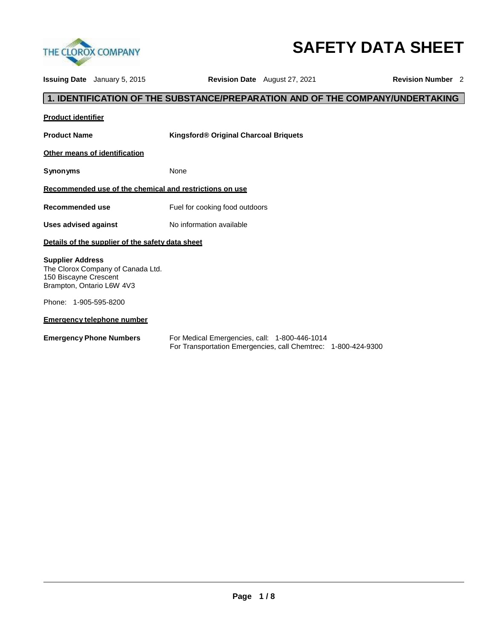

# **SAFETY DATA SHEET**

**Issuing Date** January 5, 2015 **Revision Date** August 27, 2021 **Revision Number** 2

# **1. IDENTIFICATION OF THE SUBSTANCE/PREPARATION AND OF THE COMPANY/UNDERTAKING**

| <b>Product identifier</b>                                                                                          |                                               |
|--------------------------------------------------------------------------------------------------------------------|-----------------------------------------------|
| <b>Product Name</b>                                                                                                | Kingsford® Original Charcoal Briquets         |
| Other means of identification                                                                                      |                                               |
| Synonyms                                                                                                           | None                                          |
| Recommended use of the chemical and restrictions on use                                                            |                                               |
| Recommended use                                                                                                    | Fuel for cooking food outdoors                |
| <b>Uses advised against</b>                                                                                        | No information available                      |
| Details of the supplier of the safety data sheet                                                                   |                                               |
| <b>Supplier Address</b><br>The Clorox Company of Canada Ltd.<br>150 Biscayne Crescent<br>Brampton, Ontario L6W 4V3 |                                               |
| Phone: 1-905-595-8200                                                                                              |                                               |
| <b>Emergency telephone number</b>                                                                                  |                                               |
| <b>Emergency Phone Numbers</b>                                                                                     | For Medical Emergencies, call: 1-800-446-1014 |

For Transportation Emergencies, call Chemtrec: 1-800-424-9300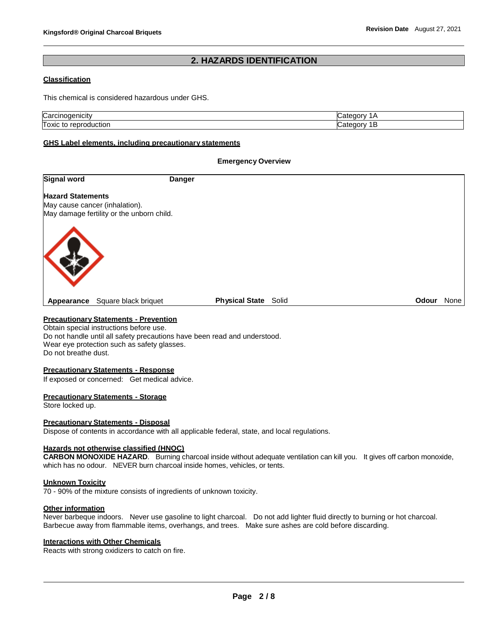# **2. HAZARDS IDENTIFICATION**

#### **Classification**

This chemical is considered hazardous under GHS.

| ∴ar    | r    |
|--------|------|
| ារប    | 11 M |
| л.     | ш    |
| Toxic  | r    |
| iction | 11 M |
| 10 H   | ш    |

#### **GHS Label elements, including precautionary statements**

#### **Emergency Overview**

| Signal word              |                                                                             | <b>Danger</b>               |              |      |
|--------------------------|-----------------------------------------------------------------------------|-----------------------------|--------------|------|
| <b>Hazard Statements</b> | May cause cancer (inhalation).<br>May damage fertility or the unborn child. |                             |              |      |
|                          |                                                                             |                             |              |      |
| Appearance               | Square black briquet                                                        | <b>Physical State Solid</b> | <b>Odour</b> | None |

# **Precautionary Statements - Prevention**

Obtain special instructions before use. Do not handle until all safety precautions have been read and understood. Wear eye protection such as safety glasses. Do not breathe dust.

#### **Precautionary Statements - Response**

If exposed or concerned: Get medical advice.

#### **Precautionary Statements - Storage**

Store locked up.

#### **Precautionary Statements - Disposal**

Dispose of contents in accordance with all applicable federal, state, and local regulations.

#### **Hazards not otherwise classified (HNOC)**

**CARBON MONOXIDE HAZARD**. Burning charcoal inside without adequate ventilation can kill you. It gives off carbon monoxide, which has no odour. NEVER burn charcoal inside homes, vehicles, or tents.

#### **Unknown Toxicity**

70 - 90% of the mixture consists of ingredients of unknown toxicity.

#### **Other information**

Never barbeque indoors. Never use gasoline to light charcoal. Do not add lighter fluid directly to burning or hot charcoal. Barbecue away from flammable items, overhangs, and trees. Make sure ashes are cold before discarding.

#### **Interactions with Other Chemicals**

Reacts with strong oxidizers to catch on fire.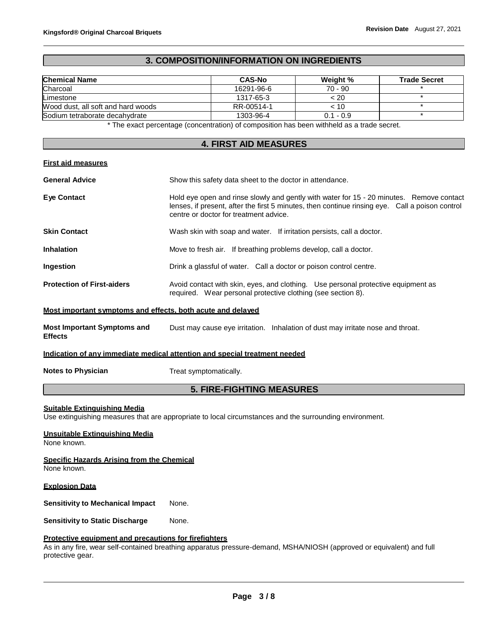# **3. COMPOSITION/INFORMATION ON INGREDIENTS**

| <b>Chemical Name</b>               | <b>CAS-No</b> | Weight %    | <b>Trade Secret</b> |
|------------------------------------|---------------|-------------|---------------------|
| Charcoal                           | 16291-96-6    | $70 - 90$   |                     |
| Limestone                          | 1317-65-3     | < 20        |                     |
| Wood dust, all soft and hard woods | RR-00514-1    | < 10        |                     |
| Sodium tetraborate decahydrate     | 1303-96-4     | $0.1 - 0.9$ |                     |

\* The exact percentage (concentration) of composition has been withheld as a trade secret.

# **4. FIRST AID MEASURES**

#### **First aid measures**

| <b>General Advice</b>                                       | Show this safety data sheet to the doctor in attendance.                                                                                                                                                                              |  |
|-------------------------------------------------------------|---------------------------------------------------------------------------------------------------------------------------------------------------------------------------------------------------------------------------------------|--|
| <b>Eve Contact</b>                                          | Hold eye open and rinse slowly and gently with water for 15 - 20 minutes. Remove contact<br>lenses, if present, after the first 5 minutes, then continue rinsing eye. Call a poison control<br>centre or doctor for treatment advice. |  |
| <b>Skin Contact</b>                                         | Wash skin with soap and water. If irritation persists, call a doctor.                                                                                                                                                                 |  |
| <b>Inhalation</b>                                           | Move to fresh air. If breathing problems develop, call a doctor.                                                                                                                                                                      |  |
| <b>Ingestion</b>                                            | Drink a glassful of water. Call a doctor or poison control centre.                                                                                                                                                                    |  |
| <b>Protection of First-aiders</b>                           | Avoid contact with skin, eyes, and clothing. Use personal protective equipment as<br>required. Wear personal protective clothing (see section 8).                                                                                     |  |
| Most important symptoms and effects, both acute and delayed |                                                                                                                                                                                                                                       |  |
| <b>Most Important Symptoms and</b><br><b>Effects</b>        | Dust may cause eye irritation. Inhalation of dust may irritate nose and throat.                                                                                                                                                       |  |

### **Indication of any immediate medical attention and special treatment needed**

**Notes to Physician** Treat symptomatically.

# **5. FIRE-FIGHTING MEASURES**

#### **Suitable Extinguishing Media**

Use extinguishing measures that are appropriate to local circumstances and the surrounding environment.

# **Unsuitable Extinguishing Media**

None known.

#### **Specific Hazards Arising from the Chemical**

None known.

#### **Explosion Data**

**Sensitivity to Mechanical Impact** None.

**Sensitivity to Static Discharge** None.

### **Protective equipment and precautions for firefighters**

As in any fire, wear self-contained breathing apparatus pressure-demand, MSHA/NIOSH (approved or equivalent) and full protective gear.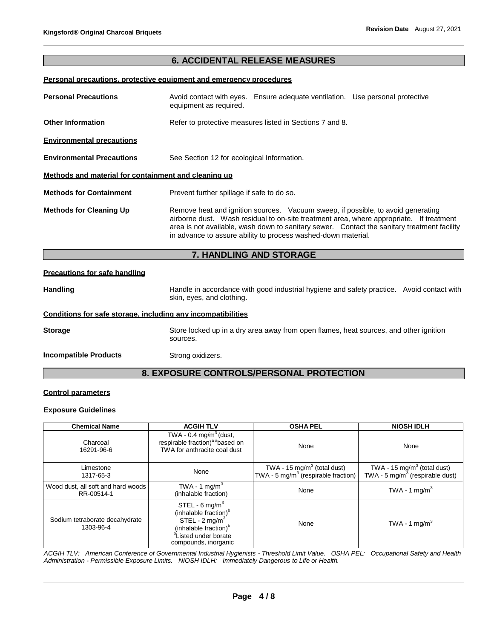# **6. ACCIDENTAL RELEASE MEASURES**

# **Personal precautions, protective equipment and emergency procedures**

| <b>Personal Precautions</b>                          | equipment as required.                                   | Avoid contact with eyes. Ensure adequate ventilation. Use personal protective                                                                     |                                                                                                                                                                                        |
|------------------------------------------------------|----------------------------------------------------------|---------------------------------------------------------------------------------------------------------------------------------------------------|----------------------------------------------------------------------------------------------------------------------------------------------------------------------------------------|
| <b>Other Information</b>                             | Refer to protective measures listed in Sections 7 and 8. |                                                                                                                                                   |                                                                                                                                                                                        |
| <b>Environmental precautions</b>                     |                                                          |                                                                                                                                                   |                                                                                                                                                                                        |
| <b>Environmental Precautions</b>                     | See Section 12 for ecological Information.               |                                                                                                                                                   |                                                                                                                                                                                        |
| Methods and material for containment and cleaning up |                                                          |                                                                                                                                                   |                                                                                                                                                                                        |
| <b>Methods for Containment</b>                       | Prevent further spillage if safe to do so.               |                                                                                                                                                   |                                                                                                                                                                                        |
| <b>Methods for Cleaning Up</b>                       |                                                          | Remove heat and ignition sources. Vacuum sweep, if possible, to avoid generating<br>in advance to assure ability to process washed-down material. | airborne dust. Wash residual to on-site treatment area, where appropriate. If treatment<br>area is not available, wash down to sanitary sewer. Contact the sanitary treatment facility |

# **7. HANDLING AND STORAGE**

# **Precautions for safe handling**

| <b>Handling</b> | Handle in accordance with good industrial hygiene and safety practice. Avoid contact with |  |
|-----------------|-------------------------------------------------------------------------------------------|--|
|                 | skin, eyes, and clothing.                                                                 |  |

#### **Conditions for safe storage, including any incompatibilities**

**Storage** Store locked up in a dry area away from open flames, heat sources, and other ignition sources.

**Incompatible Products** Strong oxidizers.

# **8. EXPOSURE CONTROLS/PERSONAL PROTECTION**

# **Control parameters**

#### **Exposure Guidelines**

| <b>Chemical Name</b>                             | <b>ACGIH TLV</b>                                                                                                                                                                             | <b>OSHA PEL</b>                                                                            | <b>NIOSH IDLH</b>                                                                      |
|--------------------------------------------------|----------------------------------------------------------------------------------------------------------------------------------------------------------------------------------------------|--------------------------------------------------------------------------------------------|----------------------------------------------------------------------------------------|
| Charcoal<br>16291-96-6                           | TWA - $0.4 \text{ mg/m}^3$ (dust,<br>respirable fraction) <sup>a a</sup> based on<br>TWA for anthracite coal dust                                                                            | None                                                                                       | None                                                                                   |
| Limestone<br>1317-65-3                           | None                                                                                                                                                                                         | TWA - 15 mg/m <sup>3</sup> (total dust)<br>TWA - 5 mg/m <sup>3</sup> (respirable fraction) | TWA - 15 mg/m <sup>3</sup> (total dust)<br>TWA - 5 mg/m <sup>3</sup> (respirable dust) |
| Wood dust, all soft and hard woods<br>RR-00514-1 | TWA - 1 mg/m <sup>3</sup><br>(inhalable fraction)                                                                                                                                            | None                                                                                       | TWA - 1 mg/m <sup>3</sup>                                                              |
| Sodium tetraborate decahydrate<br>1303-96-4      | STEL - $6 \text{ mg/m}^3$<br>(inhalable fraction) <sup>b</sup><br>STEL - $2 \text{ mg/m}^3$<br>(inhalable fraction) <sup>b</sup><br><sup>b</sup> Listed under borate<br>compounds, inorganic | None                                                                                       | TWA - 1 mg/m <sup>3</sup>                                                              |

*ACGIH TLV: American Conference of Governmental Industrial Hygienists - Threshold Limit Value. OSHA PEL: Occupational Safety and Health Administration - Permissible Exposure Limits. NIOSH IDLH: Immediately Dangerous to Life or Health.*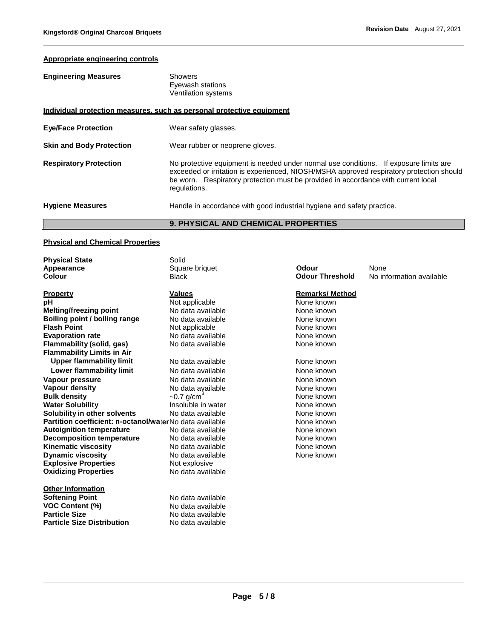# **Appropriate engineering controls**

| <b>Engineering Measures</b> | Showers                                 |
|-----------------------------|-----------------------------------------|
|                             | Eyewash stations<br>Ventilation systems |
|                             |                                         |

|                                 | <b>9. PHYSICAL AND CHEMICAL PROPERTIES</b>                                                                                                                                                                                                                                             |
|---------------------------------|----------------------------------------------------------------------------------------------------------------------------------------------------------------------------------------------------------------------------------------------------------------------------------------|
| <b>Hygiene Measures</b>         | Handle in accordance with good industrial hygiene and safety practice.                                                                                                                                                                                                                 |
| <b>Respiratory Protection</b>   | No protective equipment is needed under normal use conditions. If exposure limits are<br>exceeded or irritation is experienced, NIOSH/MSHA approved respiratory protection should<br>be worn. Respiratory protection must be provided in accordance with current local<br>regulations. |
| <b>Skin and Body Protection</b> | Wear rubber or neoprene gloves.                                                                                                                                                                                                                                                        |
| <b>Eye/Face Protection</b>      | Wear safety glasses.                                                                                                                                                                                                                                                                   |
|                                 | Individual protection measures, such as personal protective equipment                                                                                                                                                                                                                  |

# **Physical and Chemical Properties**

| <b>Physical State</b>                                   | Solid                    |                        |                          |
|---------------------------------------------------------|--------------------------|------------------------|--------------------------|
| Appearance                                              | Square briquet           | Odour                  | None                     |
| Colour                                                  | <b>Black</b>             | <b>Odour Threshold</b> | No information available |
| <b>Property</b>                                         | <b>Values</b>            | <b>Remarks/Method</b>  |                          |
| pH                                                      | Not applicable           | None known             |                          |
| <b>Melting/freezing point</b>                           | No data available        | None known             |                          |
| Boiling point / boiling range                           | No data available        | None known             |                          |
| <b>Flash Point</b>                                      | Not applicable           | None known             |                          |
| <b>Evaporation rate</b>                                 | No data available        | None known             |                          |
| Flammability (solid, gas)                               | No data available        | None known             |                          |
| <b>Flammability Limits in Air</b>                       |                          |                        |                          |
| <b>Upper flammability limit</b>                         | No data available        | None known             |                          |
| Lower flammability limit                                | No data available        | None known             |                          |
| Vapour pressure                                         | No data available        | None known             |                          |
| Vapour density                                          | No data available        | None known             |                          |
| <b>Bulk density</b>                                     | $-0.7$ g/cm <sup>3</sup> | None known             |                          |
| <b>Water Solubility</b>                                 | Insoluble in water       | None known             |                          |
| Solubility in other solvents                            | No data available        | None known             |                          |
| Partition coefficient: n-octanol/waterNo data available |                          | None known             |                          |
| <b>Autoignition temperature</b>                         | No data available        | None known             |                          |
| <b>Decomposition temperature</b>                        | No data available        | None known             |                          |
| <b>Kinematic viscosity</b>                              | No data available        | None known             |                          |
| <b>Dynamic viscosity</b>                                | No data available        | None known             |                          |
| <b>Explosive Properties</b>                             | Not explosive            |                        |                          |
| <b>Oxidizing Properties</b>                             | No data available        |                        |                          |
| <b>Other Information</b>                                |                          |                        |                          |
| <b>Softening Point</b>                                  | No data available        |                        |                          |
| <b>VOC Content (%)</b>                                  | No data available        |                        |                          |
| <b>Particle Size</b>                                    | No data available        |                        |                          |
| <b>Particle Size Distribution</b>                       | No data available        |                        |                          |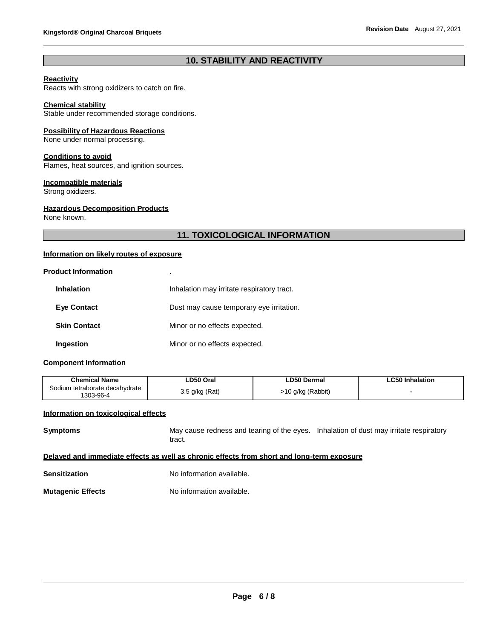# **10. STABILITY AND REACTIVITY**

#### **Reactivity**

Reacts with strong oxidizers to catch on fire.

#### **Chemical stability**

Stable under recommended storage conditions.

#### **Possibility of Hazardous Reactions**

None under normal processing.

#### **Conditions to avoid**

Flames, heat sources, and ignition sources.

#### **Incompatible materials**

Strong oxidizers.

#### **Hazardous Decomposition Products**

None known.

# **11. TOXICOLOGICAL INFORMATION**

# **Information on likely routes of exposure**

#### **Product Information** .

| <b>Inhalation</b>   | Inhalation may irritate respiratory tract. |
|---------------------|--------------------------------------------|
| <b>Eye Contact</b>  | Dust may cause temporary eye irritation.   |
| <b>Skin Contact</b> | Minor or no effects expected.              |
| Ingestion           | Minor or no effects expected.              |

#### **Component Information**

| <b>Chemical Name</b>                        | LD50 Oral        | <b>LD50 Dermal</b> | ∟C50 Inhalation |
|---------------------------------------------|------------------|--------------------|-----------------|
| Sodium tetraborate decahydrate<br>1303-96-4 | $3.5$ g/kg (Rat) | >10 g/kg (Rabbit)  |                 |

# **Information on toxicological effects**

**Symptoms** May cause redness and tearing of the eyes. Inhalation of dust may irritate respiratory tract.

### **Delayed and immediate effects as well as chronic effects from short and long-term exposure**

**Sensitization** No information available.

**Mutagenic Effects** No information available.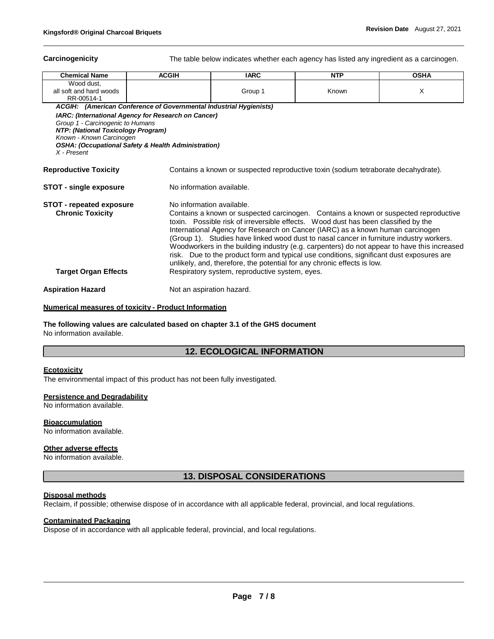**Carcinogenicity** The table below indicates whether each agency has listed any ingredient as a carcinogen.

| <b>Chemical Name</b>                                                                                                                                                                                                                                     | <b>ACGIH</b>              | <b>IARC</b>                                    | <b>NTP</b>                                                                                                                                                                                                                                                                                                                                                                                                                             | <b>OSHA</b>                                                                                                                                                                         |
|----------------------------------------------------------------------------------------------------------------------------------------------------------------------------------------------------------------------------------------------------------|---------------------------|------------------------------------------------|----------------------------------------------------------------------------------------------------------------------------------------------------------------------------------------------------------------------------------------------------------------------------------------------------------------------------------------------------------------------------------------------------------------------------------------|-------------------------------------------------------------------------------------------------------------------------------------------------------------------------------------|
| Wood dust,<br>all soft and hard woods<br>RR-00514-1                                                                                                                                                                                                      |                           | Group 1                                        | Known                                                                                                                                                                                                                                                                                                                                                                                                                                  | X                                                                                                                                                                                   |
| ACGIH: (American Conference of Governmental Industrial Hygienists)                                                                                                                                                                                       |                           |                                                |                                                                                                                                                                                                                                                                                                                                                                                                                                        |                                                                                                                                                                                     |
| <b>IARC: (International Agency for Research on Cancer)</b><br>Group 1 - Carcinogenic to Humans<br><b>NTP: (National Toxicology Program)</b><br>Known - Known Carcinogen<br><b>OSHA: (Occupational Safety &amp; Health Administration)</b><br>X - Present |                           |                                                |                                                                                                                                                                                                                                                                                                                                                                                                                                        |                                                                                                                                                                                     |
| <b>Reproductive Toxicity</b>                                                                                                                                                                                                                             |                           |                                                | Contains a known or suspected reproductive toxin (sodium tetraborate decahydrate).                                                                                                                                                                                                                                                                                                                                                     |                                                                                                                                                                                     |
| STOT - single exposure                                                                                                                                                                                                                                   | No information available. |                                                |                                                                                                                                                                                                                                                                                                                                                                                                                                        |                                                                                                                                                                                     |
| <b>STOT - repeated exposure</b><br><b>Chronic Toxicity</b><br><b>Target Organ Effects</b>                                                                                                                                                                | No information available. | Respiratory system, reproductive system, eyes. | toxin. Possible risk of irreversible effects. Wood dust has been classified by the<br>International Agency for Research on Cancer (IARC) as a known human carcinogen<br>(Group 1). Studies have linked wood dust to nasal cancer in furniture industry workers.<br>risk. Due to the product form and typical use conditions, significant dust exposures are<br>unlikely, and, therefore, the potential for any chronic effects is low. | Contains a known or suspected carcinogen. Contains a known or suspected reproductive<br>Woodworkers in the building industry (e.g. carpenters) do not appear to have this increased |
| <b>Aspiration Hazard</b>                                                                                                                                                                                                                                 | Not an aspiration hazard. |                                                |                                                                                                                                                                                                                                                                                                                                                                                                                                        |                                                                                                                                                                                     |

#### **Numerical measures of toxicity - Product Information**

**The following values are calculated based on chapter 3.1 of the GHS document** No information available.

# **12. ECOLOGICAL INFORMATION**

#### **Ecotoxicity**

The environmental impact of this product has not been fully investigated.

#### **Persistence and Degradability**

No information available.

#### **Bioaccumulation**

No information available.

# **Other adverse effects**

No information available.

**13. DISPOSAL CONSIDERATIONS**

#### **Disposal methods**

Reclaim, if possible; otherwise dispose of in accordance with all applicable federal, provincial, and local regulations.

#### **Contaminated Packaging**

Dispose of in accordance with all applicable federal, provincial, and local regulations.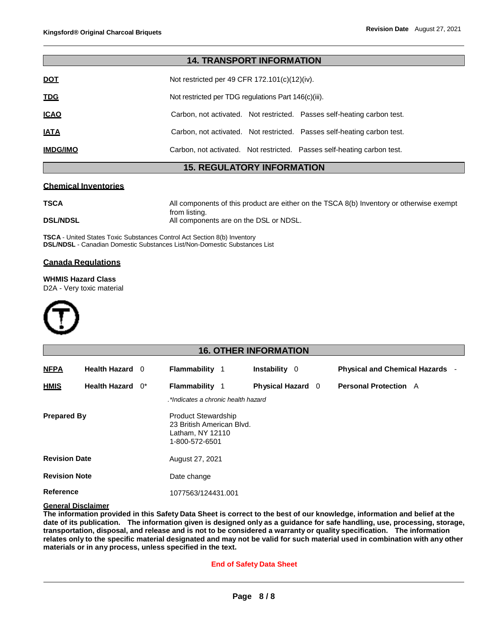|                 | <b>14. TRANSPORT INFORMATION</b>                                        |
|-----------------|-------------------------------------------------------------------------|
| <u>DOT</u>      | Not restricted per 49 CFR 172.101(c)(12)(iv).                           |
| <b>TDG</b>      | Not restricted per TDG regulations Part 146(c)(iii).                    |
| <u>ICAO</u>     | Carbon, not activated. Not restricted. Passes self-heating carbon test. |
| <u>IATA</u>     | Carbon, not activated. Not restricted. Passes self-heating carbon test. |
| <b>IMDG/IMO</b> | Carbon, not activated. Not restricted. Passes self-heating carbon test. |

# **15. REGULATORY INFORMATION**

#### **Chemical Inventories**

**TSCA** All components of this product are either on the TSCA 8(b) Inventory or otherwise exempt from listing. **DSL/NDSL CONSULTER All components are on the DSL or NDSL.** 

**TSCA** - United States Toxic Substances Control Act Section 8(b) Inventory **DSL/NDSL** - Canadian Domestic Substances List/Non-Domestic Substances List

# **Canada Regulations**

**WHMIS Hazard Class**

D2A - Very toxic material



# **16. OTHER INFORMATION NFPA Health Hazard** 0 **Flammability** 1 **Instability** 0 **Physical and Chemical Hazards** - **HMIS Health Hazard** 0\* **Flammability** 1 **Physical Hazard** 0 **Personal Protection** A *.\*Indicates a chronic health hazard* **Prepared By** Product Stewardship 23 British American Blvd. Latham, NY 12110 1-800-572-6501 **Revision Date** August 27, 2021 **Revision Note Reference** Date change 1077563/124431.001

#### **General Disclaimer**

The information provided in this Safety Data Sheet is correct to the best of our knowledge, information and belief at the date of its publication. The information given is designed only as a guidance for safe handling, use, processing, storage, **transportation, disposal, and release and is not to be considered a warranty or quality specification. The information**  relates only to the specific material designated and may not be valid for such material used in combination with any other **materials or in any process, unless specified in the text.**

#### **End of Safety Data Sheet**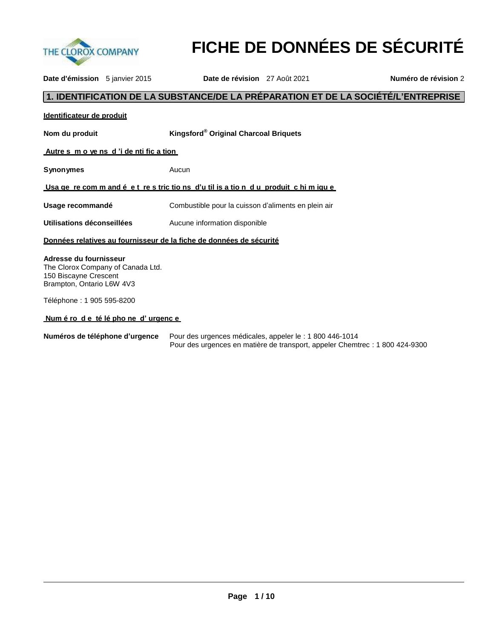

**FICHE DE DONNÉES DE SÉCURITÉ**

**Date d'émission** 5 janvier 2015 **Date de révision** 27 Août 2021 **Numéro de révision** 2

# **1. IDENTIFICATION DE LA SUBSTANCE/DE LA PRÉPARATION ET DE LA SOCIÉTÉ/L'ENTREPRISE**

| Kingsford® Original Charcoal Briquets<br>Nom du produit<br>Autres movens d'i dentification                                         | Identificateur de produit |  |
|------------------------------------------------------------------------------------------------------------------------------------|---------------------------|--|
|                                                                                                                                    |                           |  |
|                                                                                                                                    |                           |  |
| <b>Synonymes</b><br>Aucun                                                                                                          |                           |  |
| <u>Usa ge re com m and é et restrictions d'util is a tion du produit chi m igue</u>                                                |                           |  |
| Usage recommandé<br>Combustible pour la cuisson d'aliments en plein air                                                            |                           |  |
| Utilisations déconseillées<br>Aucune information disponible                                                                        |                           |  |
| Données relatives au fournisseur de la fiche de données de sécurité                                                                |                           |  |
| Adresse du fournisseur<br>The Clorox Company of Canada Ltd.<br>150 Biscayne Crescent<br>Brampton, Ontario L6W 4V3                  |                           |  |
| Téléphone: 1 905 595-8200                                                                                                          |                           |  |
| <u>Num é ro de té léphone d'urgence</u><br>Numéres de téléphone d'urgenes. Dour des urgeness médicales, enneler le 14,000 440 4044 |                           |  |

**Numéros de téléphone d'urgence** Pour des urgences médicales, appeler le : 1 800 446-1014 Pour des urgences en matière de transport, appeler Chemtrec : 1 800 424-9300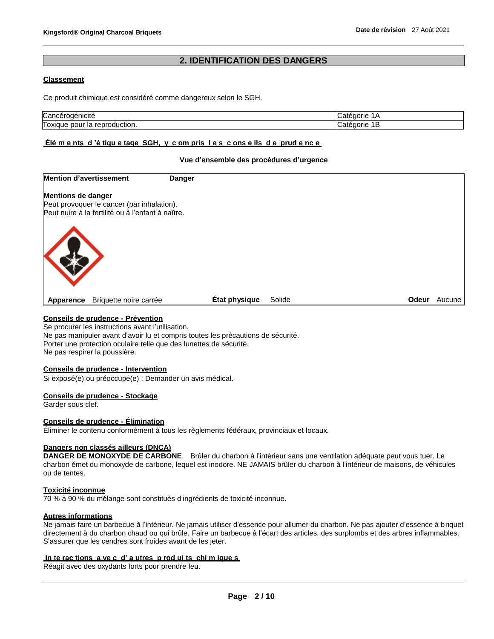# **2. IDENTIFICATION DES DANGERS**

### **Classement**

Ce produit chimique est considéré comme dangereux selon le SGH.

| ™roaenicite                               | . .                |
|-------------------------------------------|--------------------|
| ancٽ                                      | orie               |
| oduction.<br>l oxique<br>pour<br>эΓ<br>ıa | . .<br>попе<br>. . |

# **Élé m e nts d 'é tiqu e tage SGH, y c om pris l e s c ons e ils d e prud e nc e**

#### **Vue d'ensemble des procédures d'urgence**

| <b>Mention d'avertissement</b><br><b>Danger</b>   |               |        |              |        |
|---------------------------------------------------|---------------|--------|--------------|--------|
| <b>Mentions de danger</b>                         |               |        |              |        |
| Peut provoquer le cancer (par inhalation).        |               |        |              |        |
| Peut nuire à la fertilité ou à l'enfant à naître. |               |        |              |        |
|                                                   |               |        |              |        |
| Briquette noire carrée<br>Apparence               | État physique | Solide | <b>Odeur</b> | Aucune |

#### **Conseils de prudence - Prévention**

Se procurer les instructions avant l'utilisation. Ne pas manipuler avant d'avoir lu et compris toutes les précautions de sécurité. Porter une protection oculaire telle que des lunettes de sécurité. Ne pas respirer la poussière.

#### **Conseils de prudence - Intervention**

Si exposé(e) ou préoccupé(e) : Demander un avis médical.

#### **Conseils de prudence - Stockage**

Garder sous clef.

#### **Conseils de prudence - Élimination**

Éliminer le contenu conformément à tous les règlements fédéraux, provinciaux et locaux.

#### **Dangers non classés ailleurs (DNCA)**

**DANGER DE MONOXYDE DE CARBONE**. Brûler du charbon à l'intérieur sans une ventilation adéquate peut vous tuer. Le charbon émet du monoxyde de carbone, lequel est inodore. NE JAMAIS brûler du charbon à l'intérieur de maisons, de véhicules ou de tentes.

#### **Toxicité inconnue**

70 % à 90 % du mélange sont constitués d'ingrédients de toxicité inconnue.

# **Autres informations**

Ne jamais faire un barbecue à l'intérieur. Ne jamais utiliser d'essence pour allumer du charbon. Ne pas ajouter d'essence à briquet directement à du charbon chaud ou qui brûle. Faire un barbecue à l'écart des articles, des surplombs et des arbres inflammables. S'assurer que les cendres sont froides avant de les jeter.

#### **In te rac tions a ve c d' a utres p rod ui ts chi m ique s**

Réagit avec des oxydants forts pour prendre feu.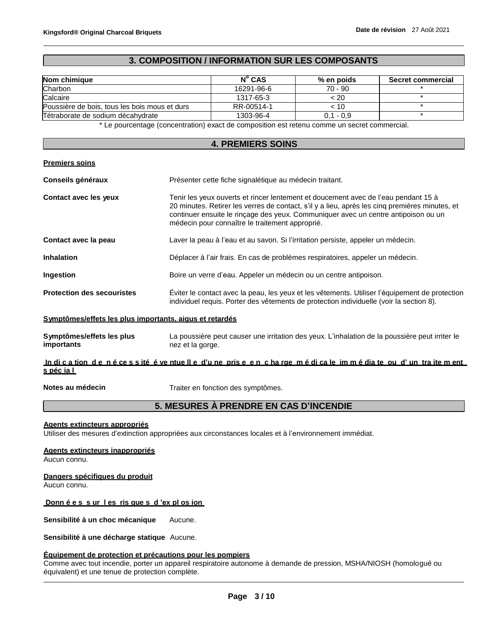# **3. COMPOSITION / INFORMATION SUR LES COMPOSANTS**

| Nom chimique                                  | $N^{\circ}$ CAS | % en poids  | <b>Secret commercial</b> |
|-----------------------------------------------|-----------------|-------------|--------------------------|
| Charbon                                       | 16291-96-6      | $70 - 90$   |                          |
| Calcaire                                      | 1317-65-3       | < 20        |                          |
| Poussière de bois, tous les bois mous et durs | RR-00514-1      | < 10        |                          |
| Tétraborate de sodium décahydrate             | 1303-96-4       | $0.1 - 0.9$ |                          |

\* Le pourcentage (concentration) exact de composition est retenu comme un secret commercial.

#### **4. PREMIERS SOINS**

#### **Premiers soins**

| Conseils généraux                 | Présenter cette fiche signalétique au médecin traitant.                                                                                                                                                                                                                                                                       |  |
|-----------------------------------|-------------------------------------------------------------------------------------------------------------------------------------------------------------------------------------------------------------------------------------------------------------------------------------------------------------------------------|--|
| Contact avec les yeux             | Tenir les yeux ouverts et rincer lentement et doucement avec de l'eau pendant 15 à<br>20 minutes. Retirer les verres de contact, s'il y a lieu, après les cinq premières minutes, et<br>continuer ensuite le rincage des yeux. Communiquer avec un centre antipoison ou un<br>médecin pour connaître le traitement approprié. |  |
| Contact avec la peau              | Laver la peau à l'eau et au savon. Si l'irritation persiste, appeler un médecin.                                                                                                                                                                                                                                              |  |
| <b>Inhalation</b>                 | Déplacer à l'air frais. En cas de problèmes respiratoires, appeler un médecin.                                                                                                                                                                                                                                                |  |
| <b>Ingestion</b>                  | Boire un verre d'eau. Appeler un médecin ou un centre antipoison.                                                                                                                                                                                                                                                             |  |
| <b>Protection des secouristes</b> | Eviter le contact avec la peau, les yeux et les vêtements. Utiliser l'équipement de protection<br>individuel requis. Porter des vêtements de protection individuelle (voir la section 8).                                                                                                                                     |  |

#### **Symptômes/effets les plus importants, aigus et retardés**

| Symptômes/effets les plus | La poussière peut causer une irritation des yeux. L'inhalation de la poussière peut irriter le |
|---------------------------|------------------------------------------------------------------------------------------------|
| importants                | nez et la gorge.                                                                               |

In di cation de nécessité éventuelle d'une prise en charge médicale immédiate ou d'un traitement **s péc ia l**

**Notes au médecin** Traiter en fonction des symptômes.

# **5. MESURES À PRENDRE EN CAS D'INCENDIE**

#### **Agents extincteurs appropriés**

Utiliser des mesures d'extinction appropriées aux circonstances locales et à l'environnement immédiat.

# **Agents extincteurs inappropriés**

Aucun connu.

#### **Dangers spécifiques du produit**

Aucun connu.

#### **Donn é e s s ur l es ris que s d 'ex pl os ion**

**Sensibilité à un choc mécanique** Aucune.

**Sensibilité à une décharge statique** Aucune.

#### **Équipement de protection et précautions pour les pompiers**

Comme avec tout incendie, porter un appareil respiratoire autonome à demande de pression, MSHA/NIOSH (homologué ou équivalent) et une tenue de protection complète.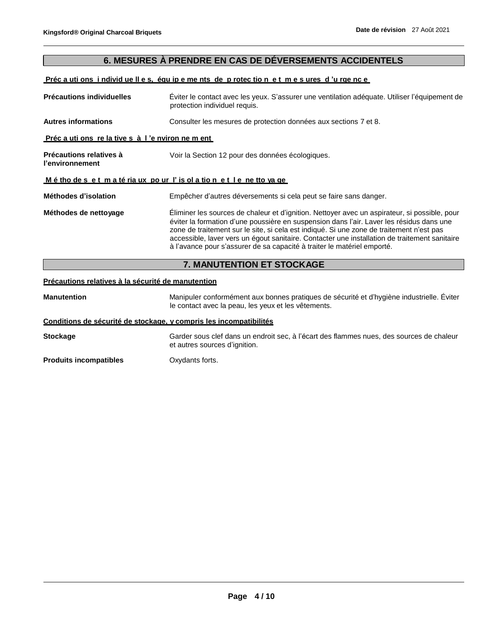# **6. MESURES À PRENDRE EN CAS DE DÉVERSEMENTS ACCIDENTELS**

#### Préc a uti ons i ndivid ue Il e s, équ ip e me nts de p rotec tion e t m e s ures d'u rge nc e

**Précautions individuelles** Éviter le contact avec les yeux. S'assurer une ventilation adéquate. Utiliser l'équipement de protection individuel requis. **Autres informations** Consulter les mesures de protection données aux sections 7 et 8. **Préc a uti ons re la tive s à l 'e nviron ne m ent Précautions relatives à l'environnement** Voir la Section 12 pour des données écologiques. **M é tho de s e t m a té ria ux po ur l' is ol a tio n e t l e ne tto ya ge Méthodes d'isolation** Empêcher d'autres déversements si cela peut se faire sans danger. **Méthodes de nettoyage** Éliminer les sources de chaleur et d'ignition. Nettoyer avec un aspirateur, si possible, pour éviter la formation d'une poussière en suspension dans l'air. Laver les résidus dans une zone de traitement sur le site, si cela est indiqué. Si une zone de traitement n'est pas accessible, laver vers un égout sanitaire. Contacter une installation de traitement sanitaire à l'avance pour s'assurer de sa capacité à traiter le matériel emporté.

# **7. MANUTENTION ET STOCKAGE**

#### **Précautions relatives à la sécurité de manutention**

**Manutention** Manipuler conformément aux bonnes pratiques de sécurité et d'hygiène industrielle. Éviter le contact avec la peau, les yeux et les vêtements. **Conditions de sécurité de stockage, y compris les incompatibilités Stockage** Garder sous clef dans un endroit sec, à l'écart des flammes nues, des sources de chaleur et autres sources d'ignition. **Produits incompatibles Canadia Constructs** Oxydants forts.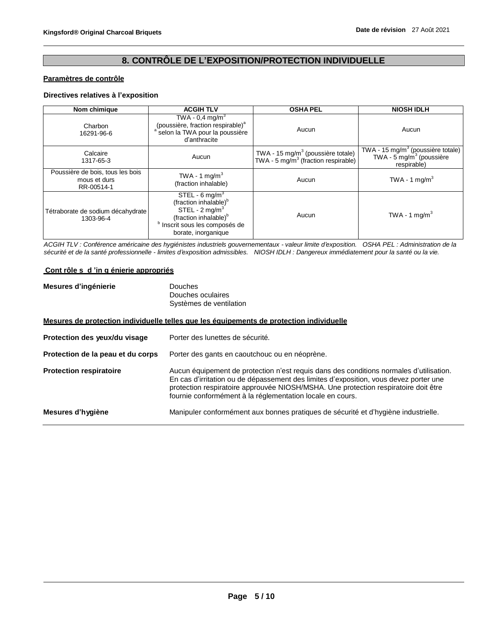# **8. CONTRÔLE DE L'EXPOSITION/PROTECTION INDIVIDUELLE**

#### **Paramètres de contrôle**

### **Directives relatives à l'exposition**

| Nom chimique                                                   | <b>ACGIH TLV</b>                                                                                                                                                                                     | <b>OSHA PEL</b>                                                                                  | <b>NIOSH IDLH</b>                                                                                      |
|----------------------------------------------------------------|------------------------------------------------------------------------------------------------------------------------------------------------------------------------------------------------------|--------------------------------------------------------------------------------------------------|--------------------------------------------------------------------------------------------------------|
| Charbon<br>16291-96-6                                          | TWA - $0.4$ mg/m <sup>3</sup><br>(poussière, fraction respirable) <sup>a</sup><br><sup>a</sup> selon la TWA pour la poussière<br>d'anthracite                                                        | Aucun                                                                                            | Aucun                                                                                                  |
| Calcaire<br>1317-65-3                                          | Aucun                                                                                                                                                                                                | TWA - 15 mg/m <sup>3</sup> (poussière totale)<br>TWA - 5 mg/m <sup>3</sup> (fraction respirable) | TWA - 15 mg/m <sup>3</sup> (poussière totale)<br>TWA - $5 \,\mathrm{mg/m^3}$ (poussière<br>respirable) |
| Poussière de bois, tous les bois<br>mous et durs<br>RR-00514-1 | TWA - 1 mg/m $3$<br>(fraction inhalable)                                                                                                                                                             | Aucun                                                                                            | TWA - 1 $mq/m3$                                                                                        |
| Tétraborate de sodium décahydrate<br>1303-96-4                 | STEL - $6 \text{ mg/m}^3$<br>(fraction inhalable) <sup>b</sup><br>STEL - $2 \text{ mg/m}^3$<br>(fraction inhalable) <sup>b</sup><br><sup>b</sup> Inscrit sous les composés de<br>borate, inorganique | Aucun                                                                                            | TWA - 1 mg/m <sup>3</sup>                                                                              |

*ACGIH TLV : Conférence américaine des hygiénistes industriels gouvernementaux - valeur limite d'exposition. OSHA PEL : Administration de la sécurité et de la santé professionnelle - limites d'exposition admissibles. NIOSH IDLH : Dangereux immédiatement pour la santé ou la vie.*

#### **Cont rôle s d 'in g énierie appropriés**

| Mesures d'ingénierie | Douches                 |
|----------------------|-------------------------|
|                      | Douches oculaires       |
|                      | Systèmes de ventilation |

#### **Mesures de protection individuelle telles que les équipements de protection individuelle**

| Protection des yeux/du visage     | Porter des lunettes de sécurité.                                                                                                                                                                                                                                                                                                     |
|-----------------------------------|--------------------------------------------------------------------------------------------------------------------------------------------------------------------------------------------------------------------------------------------------------------------------------------------------------------------------------------|
| Protection de la peau et du corps | Porter des gants en caoutchouc ou en néoprène.                                                                                                                                                                                                                                                                                       |
| <b>Protection respiratoire</b>    | Aucun équipement de protection n'est requis dans des conditions normales d'utilisation.<br>En cas d'irritation ou de dépassement des limites d'exposition, vous devez porter une<br>protection respiratoire approuvée NIOSH/MSHA. Une protection respiratoire doit être<br>fournie conformément à la réglementation locale en cours. |
| Mesures d'hygiène                 | Manipuler conformément aux bonnes pratiques de sécurité et d'hygiène industrielle.                                                                                                                                                                                                                                                   |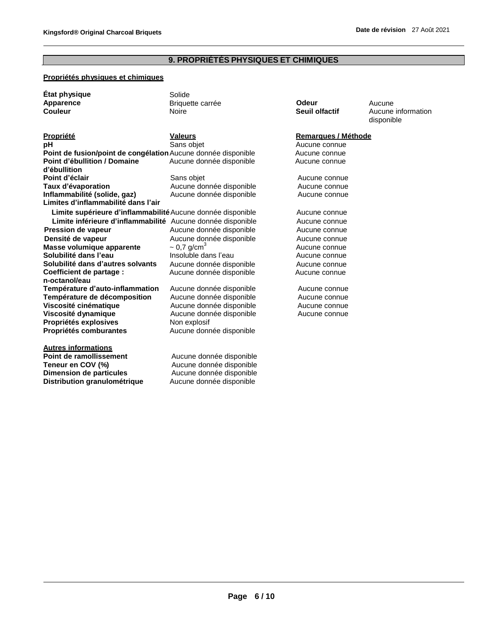#### **9. PROPRIÉTÉS PHYSIQUES ET CHIMIQUES**

#### **Propriétés physiques et chimiques**

| État physique    |  |
|------------------|--|
| <b>Apparence</b> |  |
| Couleur          |  |

**Autres informations**

**pH** Sans objet Aucune connue **Point de fusion/point de congélation**Aucune donnée disponible Aucune connue **Point d'ébullition / Domaine d'ébullition** Aucune donnée disponible **Aucune** Aucune connue **Point d'éclair Contraite en la moment de la mateur de la mateur de la mateur de la mateur de la mateur de la<br>
Sans objet de la mateur de la mateur de la mateur de la mateur de la mateur de la mateur de la mateur de la m** Aucune donnée disponible **Aucune connue**<br>
Aucune donnée disponible **Aucune connue Inflammabilité** (solide, gaz) **Aucune donnée disponible Aucune connue Limites d'inflammabilité dans l'air**

Limite supérieure d'inflammabilité Aucune donnée disponible **Aucune connue Limite inférieure d'inflammabilité** Aucune donnée disponible Aucune connue **Pression de vapeur** Aucune donnée disponible Aucune connue **Densité de vapeur Aucune donnée disponible** Aucune connue **Masse volumique apparente**  $\sim 0.7$  g/cm<sup>3</sup> **Solubilité dans l'eau insoluble dans l'eau Aucune connue Solubilité dans d'autres solvants** Aucune donnée disponible **Aucune** connue **Coefficient de partage : n-octanol/eau** Aucune donnée disponible **Aucune** Aucune connue **Température d'auto-inflammation** Aucune donnée disponible **Aucune Connue** 

Solide

**Température de décomposition** Aucune donnée disponible **Aucune connue Viscosité cinématique** Aucune donnée disponible Aucune connue **Viscosité dynamique** Aucune donnée disponible Aucune connue **Propriétés explosives** Non explosif

**Propriétés comburantes Aucune donnée disponible** 

**Point de ramollissement Aucune donnée disponible**<br> **Teneur en COV (%)** Aucune donnée disponible Aucune donnée disponible **Dimension de particules Aucune donnée disponible Distribution granulométrique** Aucune donnée disponible

**Briquette carrée Consument Consumer Codeur Aucune<br>
Noire Consumer Consumer Consumer Consumer Consumer Aucune** 

**Could Noire Could Seuil olfactif Could Aucune information** disponible

#### **Propriété Valeurs Remarques / Méthode**

Aucune connue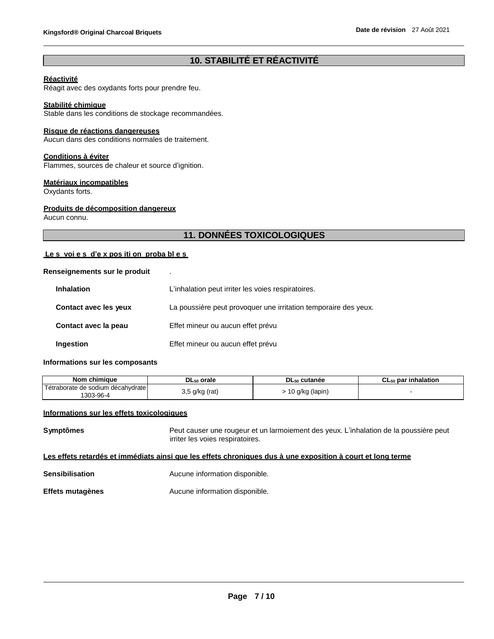# **10. STABILITÉ ET RÉACTIVITÉ**

# **Réactivité**

Réagit avec des oxydants forts pour prendre feu.

#### **Stabilité chimique**

Stable dans les conditions de stockage recommandées.

#### **Risque de réactions dangereuses**

Aucun dans des conditions normales de traitement.

#### **Conditions à éviter**

Flammes, sources de chaleur et source d'ignition.

#### **Matériaux incompatibles**

Oxydants forts.

#### **Produits de décomposition dangereux**

Aucun connu.

# **11. DONNÉES TOXICOLOGIQUES**

#### **Le s voi e s d'e x pos iti on proba bl e s**

#### **Renseignements sur le produit** .

| <b>Inhalation</b>     | L'inhalation peut irriter les voies respiratoires.              |
|-----------------------|-----------------------------------------------------------------|
| Contact avec les yeux | La poussière peut provoquer une irritation temporaire des yeux. |
| Contact avec la peau  | Effet mineur ou aucun effet prévu                               |
| Ingestion             | Effet mineur ou aucun effet prévu                               |

#### **Informations sur les composants**

| chimiaue<br>Nom                                | $D L_{50}$ orale | DL <sub>50</sub> cutanée | $CL_{50}$ par inhalation |
|------------------------------------------------|------------------|--------------------------|--------------------------|
| Tétraborate de sodium décahvdrate<br>1303-96-4 | ;q/kg (rat)      | ) g/kg (lapin)           |                          |

# **Informations sur les effets toxicologiques**

**Symptômes** Peut causer une rougeur et un larmoiement des yeux. L'inhalation de la poussière peut irriter les voies respiratoires.

#### Les effets retardés et immédiats ainsi que les effets chroniques dus à une exposition à court et long terme

| <b>Sensibilisation</b> | Aucune information disponible. |  |
|------------------------|--------------------------------|--|
|------------------------|--------------------------------|--|

**Effets mutagènes Aucune information disponible.**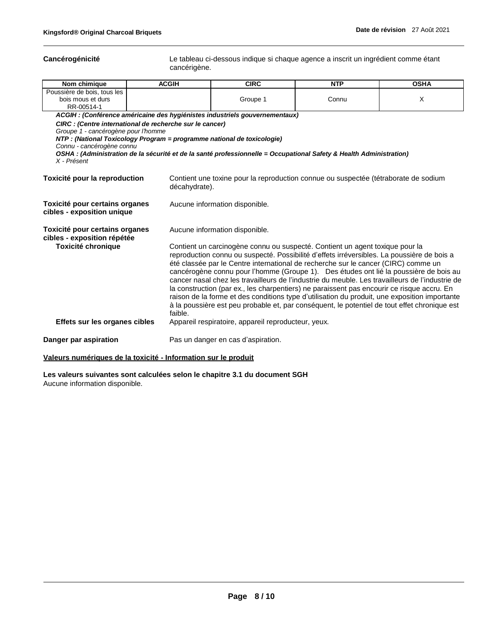**Cancérogénicité** Le tableau ci-dessous indique si chaque agence a inscrit un ingrédient comme étant cancérigène.

| Nom chimique                                                                    | <b>ACGIH</b>                                                                                                                        | <b>CIRC</b>                                                                                                                                                                                                                                                                                                                                                                                                                                                                                                                                                                                                                                                                                                                                                 | <b>NTP</b> | <b>OSHA</b> |
|---------------------------------------------------------------------------------|-------------------------------------------------------------------------------------------------------------------------------------|-------------------------------------------------------------------------------------------------------------------------------------------------------------------------------------------------------------------------------------------------------------------------------------------------------------------------------------------------------------------------------------------------------------------------------------------------------------------------------------------------------------------------------------------------------------------------------------------------------------------------------------------------------------------------------------------------------------------------------------------------------------|------------|-------------|
| Poussière de bois, tous les<br>bois mous et durs<br>RR-00514-1                  |                                                                                                                                     | Groupe 1                                                                                                                                                                                                                                                                                                                                                                                                                                                                                                                                                                                                                                                                                                                                                    | Connu      | X           |
|                                                                                 |                                                                                                                                     | ACGIH : (Conférence américaine des hygiénistes industriels gouvernementaux)                                                                                                                                                                                                                                                                                                                                                                                                                                                                                                                                                                                                                                                                                 |            |             |
| Groupe 1 - cancérogène pour l'homme<br>Connu - cancérogène connu<br>X - Présent | CIRC : (Centre international de recherche sur le cancer)<br>NTP : (National Toxicology Program = programme national de toxicologie) | OSHA : (Administration de la sécurité et de la santé professionnelle = Occupational Safety & Health Administration)                                                                                                                                                                                                                                                                                                                                                                                                                                                                                                                                                                                                                                         |            |             |
| Toxicité pour la reproduction                                                   | décahydrate).                                                                                                                       | Contient une toxine pour la reproduction connue ou suspectée (tétraborate de sodium                                                                                                                                                                                                                                                                                                                                                                                                                                                                                                                                                                                                                                                                         |            |             |
| Toxicité pour certains organes<br>cibles - exposition unique                    |                                                                                                                                     | Aucune information disponible.                                                                                                                                                                                                                                                                                                                                                                                                                                                                                                                                                                                                                                                                                                                              |            |             |
| Toxicité pour certains organes<br>cibles - exposition répétée                   |                                                                                                                                     | Aucune information disponible.                                                                                                                                                                                                                                                                                                                                                                                                                                                                                                                                                                                                                                                                                                                              |            |             |
| <b>Toxicité chronique</b>                                                       | faible.                                                                                                                             | Contient un carcinogène connu ou suspecté. Contient un agent toxique pour la<br>reproduction connu ou suspecté. Possibilité d'effets irréversibles. La poussière de bois a<br>été classée par le Centre international de recherche sur le cancer (CIRC) comme un<br>cancérogène connu pour l'homme (Groupe 1). Des études ont lié la poussière de bois au<br>cancer nasal chez les travailleurs de l'industrie du meuble. Les travailleurs de l'industrie de<br>la construction (par ex., les charpentiers) ne paraissent pas encourir ce risque accru. En<br>raison de la forme et des conditions type d'utilisation du produit, une exposition importante<br>à la poussière est peu probable et, par conséquent, le potentiel de tout effet chronique est |            |             |
| Effets sur les organes cibles                                                   |                                                                                                                                     | Appareil respiratoire, appareil reproducteur, yeux.                                                                                                                                                                                                                                                                                                                                                                                                                                                                                                                                                                                                                                                                                                         |            |             |
| Danger par aspiration                                                           |                                                                                                                                     | Pas un danger en cas d'aspiration.                                                                                                                                                                                                                                                                                                                                                                                                                                                                                                                                                                                                                                                                                                                          |            |             |
| Valeurs numériques de la toxicité - Information sur le produit                  |                                                                                                                                     |                                                                                                                                                                                                                                                                                                                                                                                                                                                                                                                                                                                                                                                                                                                                                             |            |             |

**Les valeurs suivantes sont calculées selon le chapitre 3.1 du document SGH**

Aucune information disponible.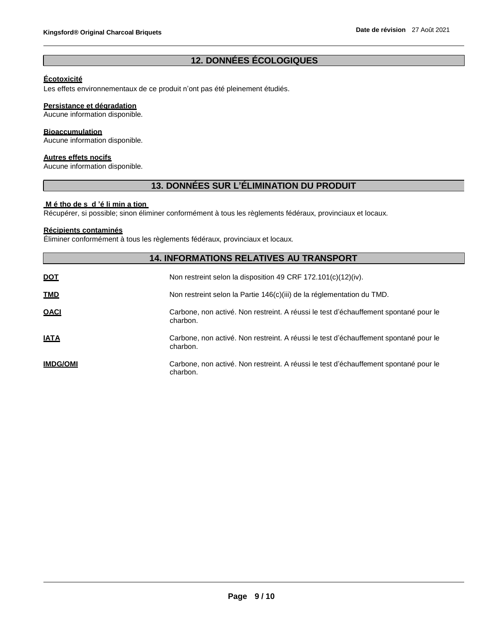# **12. DONNÉES ÉCOLOGIQUES**

### **Écotoxicité**

Les effets environnementaux de ce produit n'ont pas été pleinement étudiés.

# **Persistance et dégradation**

Aucune information disponible.

#### **Bioaccumulation**

Aucune information disponible.

# **Autres effets nocifs**

Aucune information disponible.

# **13. DONNÉES SUR L'ÉLIMINATION DU PRODUIT**

#### **M é tho de s d 'é li min a tion**

Récupérer, si possible; sinon éliminer conformément à tous les règlements fédéraux, provinciaux et locaux.

### **Récipients contaminés**

Éliminer conformément à tous les règlements fédéraux, provinciaux et locaux.

|                 | <b>14. INFORMATIONS RELATIVES AU TRANSPORT</b>                                                   |
|-----------------|--------------------------------------------------------------------------------------------------|
| <b>DOT</b>      | Non restreint selon la disposition 49 CRF 172.101(c)(12)(iv).                                    |
| <b>TMD</b>      | Non restreint selon la Partie 146(c)(iii) de la réglementation du TMD.                           |
| <u>OACI</u>     | Carbone, non activé. Non restreint. A réussi le test d'échauffement spontané pour le<br>charbon. |
| <b>IATA</b>     | Carbone, non activé. Non restreint. A réussi le test d'échauffement spontané pour le<br>charbon. |
| <b>IMDG/OMI</b> | Carbone, non activé. Non restreint. A réussi le test d'échauffement spontané pour le<br>charbon. |